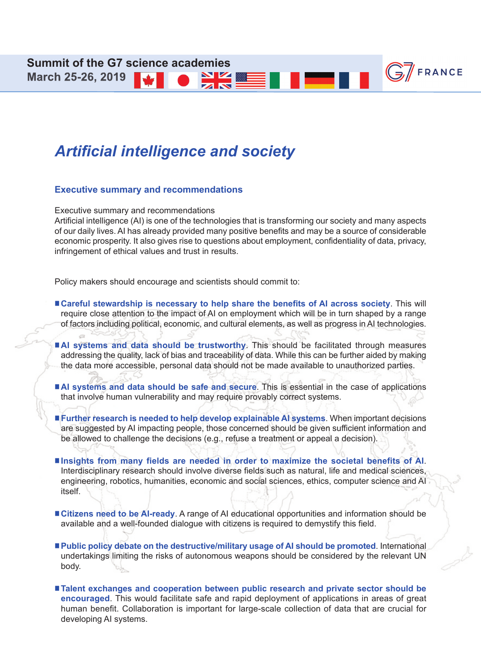**March 25-26, 2019** 

## *Artificial intelligence and society*

#### **Executive summary and recommendations**

Executive summary and recommendations Artificial intelligence (AI) is one of the technologies that is transforming our society and many aspects of our daily lives. AI has already provided many positive benefits and may be a source of considerable economic prosperity. It also gives rise to questions about employment, confidentiality of data, privacy, infringement of ethical values and trust in results.

NV Z

 $\mathbb{G}$ /FRANCE

Policy makers should encourage and scientists should commit to:

- n **Careful stewardship is necessary to help share the benefits of AI across society**. This will require close attention to the impact of AI on employment which will be in turn shaped by a range of factors including political, economic, and cultural elements, as well as progress in AI technologies.
- n **AI systems and data should be trustworthy**. This should be facilitated through measures addressing the quality, lack of bias and traceability of data. While this can be further aided by making the data more accessible, personal data should not be made available to unauthorized parties.
- n **AI systems and data should be safe and secure**. This is essential in the case of applications that involve human vulnerability and may require provably correct systems.
- n **Further research is needed to help develop explainable AI systems**. When important decisions are suggested by AI impacting people, those concerned should be given sufficient information and be allowed to challenge the decisions (e.g., refuse a treatment or appeal a decision).
- n **Insights from many fields are needed in order to maximize the societal benefits of AI**. Interdisciplinary research should involve diverse fields such as natural, life and medical sciences, engineering, robotics, humanities, economic and social sciences, ethics, computer science and AI itself.
- n **Citizens need to be AI-ready**. A range of AI educational opportunities and information should be available and a well-founded dialogue with citizens is required to demystify this field.
- n **Public policy debate on the destructive/military usage of AI should be promoted**. International undertakings limiting the risks of autonomous weapons should be considered by the relevant UN body.
- n **Talent exchanges and cooperation between public research and private sector should be encouraged**. This would facilitate safe and rapid deployment of applications in areas of great human benefit. Collaboration is important for large-scale collection of data that are crucial for developing AI systems.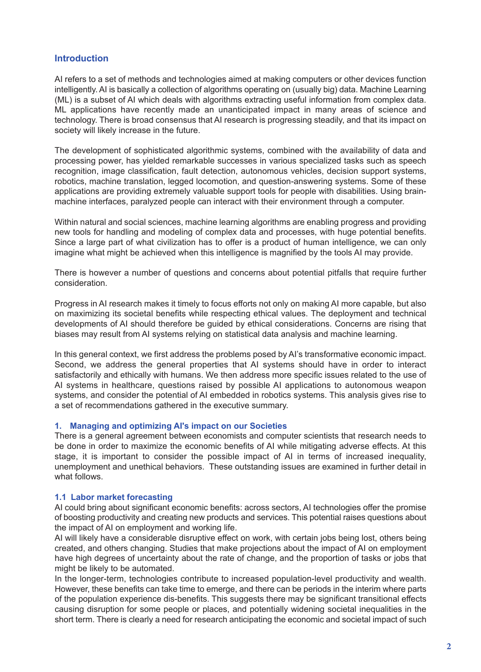## **Introduction**

AI refers to a set of methods and technologies aimed at making computers or other devices function intelligently. AI is basically a collection of algorithms operating on (usually big) data. Machine Learning (ML) is a subset of AI which deals with algorithms extracting useful information from complex data. ML applications have recently made an unanticipated impact in many areas of science and technology. There is broad consensus that AI research is progressing steadily, and that its impact on society will likely increase in the future.

The development of sophisticated algorithmic systems, combined with the availability of data and processing power, has yielded remarkable successes in various specialized tasks such as speech recognition, image classification, fault detection, autonomous vehicles, decision support systems, robotics, machine translation, legged locomotion, and question-answering systems. Some of these applications are providing extremely valuable support tools for people with disabilities. Using brainmachine interfaces, paralyzed people can interact with their environment through a computer.

Within natural and social sciences, machine learning algorithms are enabling progress and providing new tools for handling and modeling of complex data and processes, with huge potential benefits. Since a large part of what civilization has to offer is a product of human intelligence, we can only imagine what might be achieved when this intelligence is magnified by the tools AI may provide.

There is however a number of questions and concerns about potential pitfalls that require further consideration.

Progress in AI research makes it timely to focus efforts not only on making AI more capable, but also on maximizing its societal benefits while respecting ethical values. The deployment and technical developments of AI should therefore be guided by ethical considerations. Concerns are rising that biases may result from AI systems relying on statistical data analysis and machine learning.

In this general context, we first address the problems posed by AI's transformative economic impact. Second, we address the general properties that AI systems should have in order to interact satisfactorily and ethically with humans. We then address more specific issues related to the use of AI systems in healthcare, questions raised by possible AI applications to autonomous weapon systems, and consider the potential of AI embedded in robotics systems. This analysis gives rise to a set of recommendations gathered in the executive summary.

#### **1. Managing and optimizing AI's impact on our Societies**

There is a general agreement between economists and computer scientists that research needs to be done in order to maximize the economic benefits of AI while mitigating adverse effects. At this stage, it is important to consider the possible impact of AI in terms of increased inequality, unemployment and unethical behaviors. These outstanding issues are examined in further detail in what follows.

#### **1.1 Labor market forecasting**

AI could bring about significant economic benefits: across sectors, AI technologies offer the promise of boosting productivity and creating new products and services. This potential raises questions about the impact of AI on employment and working life.

AI will likely have a considerable disruptive effect on work, with certain jobs being lost, others being created, and others changing. Studies that make projections about the impact of AI on employment have high degrees of uncertainty about the rate of change, and the proportion of tasks or jobs that might be likely to be automated.

In the longer-term, technologies contribute to increased population-level productivity and wealth. However, these benefits can take time to emerge, and there can be periods in the interim where parts of the population experience dis-benefits. This suggests there may be significant transitional effects causing disruption for some people or places, and potentially widening societal inequalities in the short term. There is clearly a need for research anticipating the economic and societal impact of such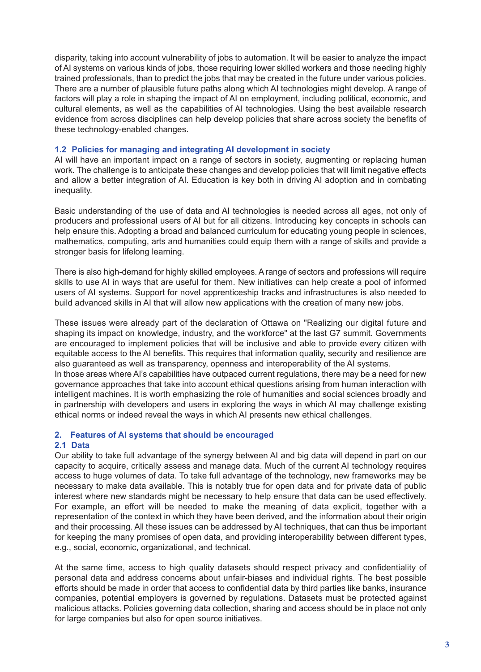disparity, taking into account vulnerability of jobs to automation. It will be easier to analyze the impact of AI systems on various kinds of jobs, those requiring lower skilled workers and those needing highly trained professionals, than to predict the jobs that may be created in the future under various policies. There are a number of plausible future paths along which AI technologies might develop. A range of factors will play a role in shaping the impact of AI on employment, including political, economic, and cultural elements, as well as the capabilities of AI technologies. Using the best available research evidence from across disciplines can help develop policies that share across society the benefits of these technology-enabled changes.

## **1.2 Policies for managing and integrating AI development in society**

AI will have an important impact on a range of sectors in society, augmenting or replacing human work. The challenge is to anticipate these changes and develop policies that will limit negative effects and allow a better integration of AI. Education is key both in driving AI adoption and in combating inequality.

Basic understanding of the use of data and AI technologies is needed across all ages, not only of producers and professional users of AI but for all citizens. Introducing key concepts in schools can help ensure this. Adopting a broad and balanced curriculum for educating young people in sciences, mathematics, computing, arts and humanities could equip them with a range of skills and provide a stronger basis for lifelong learning.

There is also high-demand for highly skilled employees. A range of sectors and professions will require skills to use AI in ways that are useful for them. New initiatives can help create a pool of informed users of AI systems. Support for novel apprenticeship tracks and infrastructures is also needed to build advanced skills in AI that will allow new applications with the creation of many new jobs.

These issues were already part of the declaration of Ottawa on "Realizing our digital future and shaping its impact on knowledge, industry, and the workforce" at the last G7 summit. Governments are encouraged to implement policies that will be inclusive and able to provide every citizen with equitable access to the AI benefits. This requires that information quality, security and resilience are also guaranteed as well as transparency, openness and interoperability of the AI systems. In those areas where AI's capabilities have outpaced current regulations, there may be a need for new governance approaches that take into account ethical questions arising from human interaction with

intelligent machines. It is worth emphasizing the role of humanities and social sciences broadly and in partnership with developers and users in exploring the ways in which AI may challenge existing ethical norms or indeed reveal the ways in which AI presents new ethical challenges.

## **2. Features of AI systems that should be encouraged**

#### **2.1 Data**

Our ability to take full advantage of the synergy between AI and big data will depend in part on our capacity to acquire, critically assess and manage data. Much of the current AI technology requires access to huge volumes of data. To take full advantage of the technology, new frameworks may be necessary to make data available. This is notably true for open data and for private data of public interest where new standards might be necessary to help ensure that data can be used effectively. For example, an effort will be needed to make the meaning of data explicit, together with a representation of the context in which they have been derived, and the information about their origin and their processing. All these issues can be addressed by AI techniques, that can thus be important for keeping the many promises of open data, and providing interoperability between different types, e.g., social, economic, organizational, and technical.

At the same time, access to high quality datasets should respect privacy and confidentiality of personal data and address concerns about unfair-biases and individual rights. The best possible efforts should be made in order that access to confidential data by third parties like banks, insurance companies, potential employers is governed by regulations. Datasets must be protected against malicious attacks. Policies governing data collection, sharing and access should be in place not only for large companies but also for open source initiatives.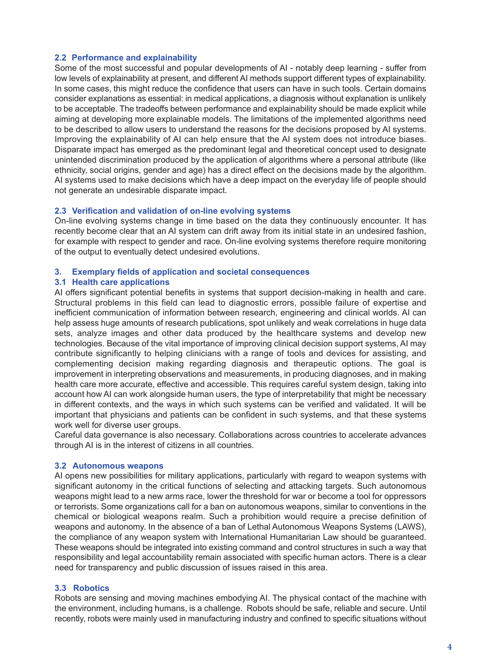## **2.2 Performance and explainability**

Some of the most successful and popular developments of AI - notably deep learning - suffer from low levels of explainability at present, and different AI methods support different types of explainability. In some cases, this might reduce the confidence that users can have in such tools. Certain domains consider explanations as essential: in medical applications, a diagnosis without explanation is unlikely to be acceptable. The tradeoffs between performance and explainability should be made explicit while aiming at developing more explainable models. The limitations of the implemented algorithms need to be described to allow users to understand the reasons for the decisions proposed by AI systems. Improving the explainability of AI can help ensure that the AI system does not introduce biases. Disparate impact has emerged as the predominant legal and theoretical concept used to designate unintended discrimination produced by the application of algorithms where a personal attribute (like ethnicity, social origins, gender and age) has a direct effect on the decisions made by the algorithm. AI systems used to make decisions which have a deep impact on the everyday life of people should not generate an undesirable disparate impact.

### **2.3 Verification and validation of on-line evolving systems**

On-line evolving systems change in time based on the data they continuously encounter. It has recently become clear that an AI system can drift away from its initial state in an undesired fashion, for example with respect to gender and race. On-line evolving systems therefore require monitoring of the output to eventually detect undesired evolutions.

### **3. Exemplary fields of application and societal consequences**

### **3.1 Health care applications**

AI offers significant potential benefits in systems that support decision-making in health and care. Structural problems in this field can lead to diagnostic errors, possible failure of expertise and inefficient communication of information between research, engineering and clinical worlds. AI can help assess huge amounts of research publications, spot unlikely and weak correlations in huge data sets, analyze images and other data produced by the healthcare systems and develop new technologies. Because of the vital importance of improving clinical decision support systems, AI may contribute significantly to helping clinicians with a range of tools and devices for assisting, and complementing decision making regarding diagnosis and therapeutic options. The goal is improvement in interpreting observations and measurements, in producing diagnoses, and in making health care more accurate, effective and accessible. This requires careful system design, taking into account how AI can work alongside human users, the type of interpretability that might be necessary in different contexts, and the ways in which such systems can be verified and validated. It will be important that physicians and patients can be confident in such systems, and that these systems work well for diverse user groups.

Careful data governance is also necessary. Collaborations across countries to accelerate advances through AI is in the interest of citizens in all countries.

#### **3.2 Autonomous weapons**

AI opens new possibilities for military applications, particularly with regard to weapon systems with significant autonomy in the critical functions of selecting and attacking targets. Such autonomous weapons might lead to a new arms race, lower the threshold for war or become a tool for oppressors or terrorists. Some organizations call for a ban on autonomous weapons, similar to conventions in the chemical or biological weapons realm. Such a prohibition would require a precise definition of weapons and autonomy. In the absence of a ban of Lethal Autonomous Weapons Systems (LAWS), the compliance of any weapon system with International Humanitarian Law should be guaranteed. These weapons should be integrated into existing command and control structures in such a way that responsibility and legal accountability remain associated with specific human actors. There is a clear need for transparency and public discussion of issues raised in this area.

## **3.3 Robotics**

Robots are sensing and moving machines embodying AI. The physical contact of the machine with the environment, including humans, is a challenge. Robots should be safe, reliable and secure. Until recently, robots were mainly used in manufacturing industry and confined to specific situations without